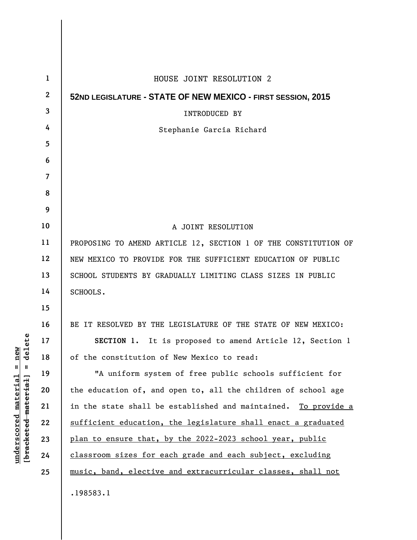| 1            | HOUSE JOINT RESOLUTION 2                                                 |  |  |
|--------------|--------------------------------------------------------------------------|--|--|
| $\mathbf{2}$ | 52ND LEGISLATURE - STATE OF NEW MEXICO - FIRST SESSION, 2015             |  |  |
| 3            | <b>INTRODUCED BY</b>                                                     |  |  |
| 4            | Stephanie Garcia Richard                                                 |  |  |
| 5            |                                                                          |  |  |
| 6            |                                                                          |  |  |
| 7            |                                                                          |  |  |
| 8            |                                                                          |  |  |
| 9            |                                                                          |  |  |
| 10           | A JOINT RESOLUTION                                                       |  |  |
| 11           | PROPOSING TO AMEND ARTICLE 12, SECTION 1 OF THE CONSTITUTION OF          |  |  |
| 12           | NEW MEXICO TO PROVIDE FOR THE SUFFICIENT EDUCATION OF PUBLIC             |  |  |
| 13           | SCHOOL STUDENTS BY GRADUALLY LIMITING CLASS SIZES IN PUBLIC              |  |  |
| 14           | SCHOOLS.                                                                 |  |  |
| 15           |                                                                          |  |  |
| 16           | BE IT RESOLVED BY THE LEGISLATURE OF THE STATE OF NEW MEXICO:            |  |  |
| 17           | SECTION 1. It is proposed to amend Article 12, Section 1                 |  |  |
| 18           | of the constitution of New Mexico to read:                               |  |  |
| 19           | "A uniform system of free public schools sufficient for                  |  |  |
| 20           | the education of, and open to, all the children of school age            |  |  |
| 21           | in the state shall be established and maintained.<br><u>To provide a</u> |  |  |
| 22           | sufficient education, the legislature shall enact a graduated            |  |  |
| 23           | plan to ensure that, by the 2022-2023 school year, public                |  |  |
| 24           | classroom sizes for each grade and each subject, excluding               |  |  |
| 25           | music, band, elective and extracurricular classes, shall not             |  |  |
|              | .198583.1                                                                |  |  |

**underscored material = new [bracketed material] = delete**

 $[**bracket eted metert et**] = **del et e**$  $underscored material = new$ 

 $\mathsf{l}$